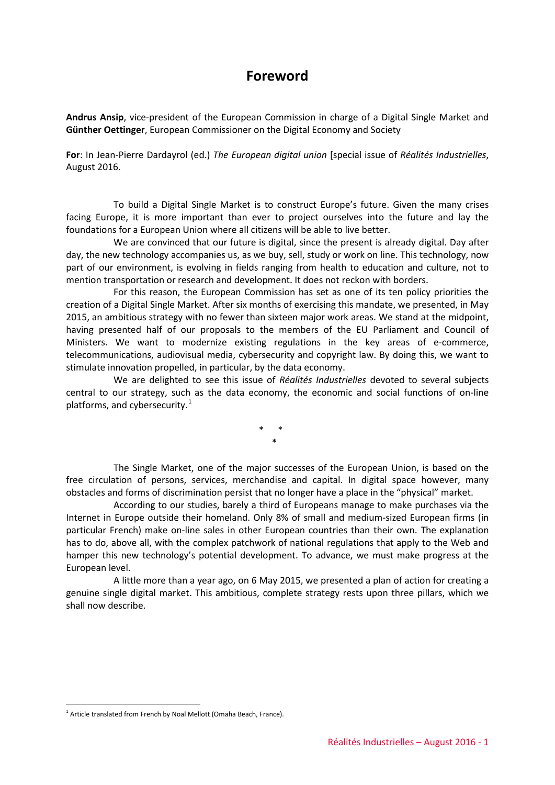#### **Foreword**

**Andrus Ansip**, vice-president of the European Commission in charge of a Digital Single Market and **Günther Oettinger**, European Commissioner on the Digital Economy and Society

**For**: In Jean-Pierre Dardayrol (ed.) *The European digital union* [special issue of *Réalités Industrielles*, August 2016.

To build a Digital Single Market is to construct Europe's future. Given the many crises facing Europe, it is more important than ever to project ourselves into the future and lay the foundations for a European Union where all citizens will be able to live better.

We are convinced that our future is digital, since the present is already digital. Day after day, the new technology accompanies us, as we buy, sell, study or work on line. This technology, now part of our environment, is evolving in fields ranging from health to education and culture, not to mention transportation or research and development. It does not reckon with borders.

For this reason, the European Commission has set as one of its ten policy priorities the creation of a Digital Single Market. After six months of exercising this mandate, we presented, in May 2015, an ambitious strategy with no fewer than sixteen major work areas. We stand at the midpoint, having presented half of our proposals to the members of the EU Parliament and Council of Ministers. We want to modernize existing regulations in the key areas of e-commerce, telecommunications, audiovisual media, cybersecurity and copyright law. By doing this, we want to stimulate innovation propelled, in particular, by the data economy.

We are delighted to see this issue of *Réalités Industrielles* devoted to several subjects central to our strategy, such as the data economy, the economic and social functions of on-line platforms, and cybersecurity. $1$ 

> \* \* \*

The Single Market, one of the major successes of the European Union, is based on the free circulation of persons, services, merchandise and capital. In digital space however, many obstacles and forms of discrimination persist that no longer have a place in the "physical" market.

According to our studies, barely a third of Europeans manage to make purchases via the Internet in Europe outside their homeland. Only 8% of small and medium-sized European firms (in particular French) make on-line sales in other European countries than their own. The explanation has to do, above all, with the complex patchwork of national regulations that apply to the Web and hamper this new technology's potential development. To advance, we must make progress at the European level.

A little more than a year ago, on 6 May 2015, we presented a plan of action for creating a genuine single digital market. This ambitious, complete strategy rests upon three pillars, which we shall now describe.

-

<span id="page-0-0"></span> $1$  Article translated from French by Noal Mellott (Omaha Beach, France).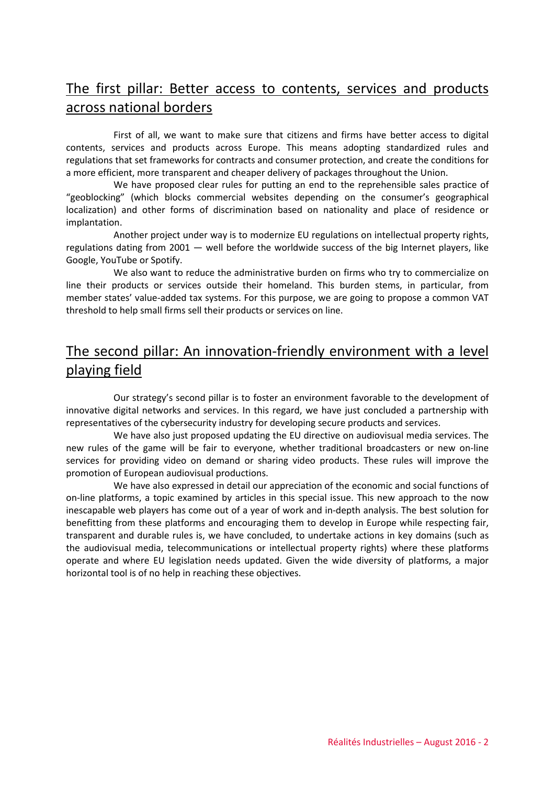# The first pillar: Better access to contents, services and products across national borders

First of all, we want to make sure that citizens and firms have better access to digital contents, services and products across Europe. This means adopting standardized rules and regulations that set frameworks for contracts and consumer protection, and create the conditions for a more efficient, more transparent and cheaper delivery of packages throughout the Union.

We have proposed clear rules for putting an end to the reprehensible sales practice of "geoblocking" (which blocks commercial websites depending on the consumer's geographical localization) and other forms of discrimination based on nationality and place of residence or implantation.

Another project under way is to modernize EU regulations on intellectual property rights, regulations dating from 2001 — well before the worldwide success of the big Internet players, like Google, YouTube or Spotify.

We also want to reduce the administrative burden on firms who try to commercialize on line their products or services outside their homeland. This burden stems, in particular, from member states' value-added tax systems. For this purpose, we are going to propose a common VAT threshold to help small firms sell their products or services on line.

# The second pillar: An innovation-friendly environment with a level playing field

Our strategy's second pillar is to foster an environment favorable to the development of innovative digital networks and services. In this regard, we have just concluded a partnership with representatives of the cybersecurity industry for developing secure products and services.

We have also just proposed updating the EU directive on audiovisual media services. The new rules of the game will be fair to everyone, whether traditional broadcasters or new on-line services for providing video on demand or sharing video products. These rules will improve the promotion of European audiovisual productions.

We have also expressed in detail our appreciation of the economic and social functions of on-line platforms, a topic examined by articles in this special issue. This new approach to the now inescapable web players has come out of a year of work and in-depth analysis. The best solution for benefitting from these platforms and encouraging them to develop in Europe while respecting fair, transparent and durable rules is, we have concluded, to undertake actions in key domains (such as the audiovisual media, telecommunications or intellectual property rights) where these platforms operate and where EU legislation needs updated. Given the wide diversity of platforms, a major horizontal tool is of no help in reaching these objectives.